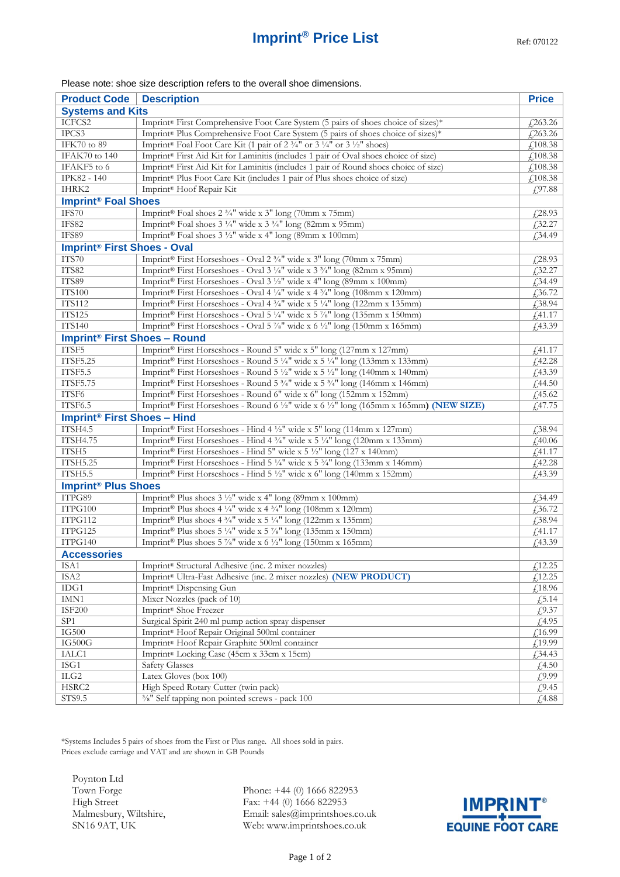## **Imprint<sup>®</sup> Price List** Ref: 070122

## Please note: shoe size description refers to the overall shoe dimensions.

| <b>Product Code</b>                            | <b>Description</b>                                                                              | <b>Price</b>   |  |
|------------------------------------------------|-------------------------------------------------------------------------------------------------|----------------|--|
| <b>Systems and Kits</b>                        |                                                                                                 |                |  |
| ICFCS2                                         | Imprint® First Comprehensive Foot Care System (5 pairs of shoes choice of sizes)*               | $f$ ,263.26    |  |
| IPCS3                                          | Imprint® Plus Comprehensive Foot Care System (5 pairs of shoes choice of sizes)*                | £263.26        |  |
| IFK70 to 89                                    | Imprint® Foal Foot Care Kit (1 pair of 2 3/4" or 3 1/4" or 3 1/2" shoes)                        | £108.38        |  |
| <b>IFAK70</b> to 140                           | Imprint® First Aid Kit for Laminitis (includes 1 pair of Oval shoes choice of size)             | £108.38        |  |
| IFAKF5 to 6                                    | Imprint® First Aid Kit for Laminitis (includes 1 pair of Round shoes choice of size)            | £108.38        |  |
| IPK82 - 140                                    | Imprint <sup>®</sup> Plus Foot Care Kit (includes 1 pair of Plus shoes choice of size)          | £108.38        |  |
| IHRK2                                          | Imprint® Hoof Repair Kit                                                                        | £97.88         |  |
| <b>Imprint<sup>®</sup> Foal Shoes</b>          |                                                                                                 |                |  |
| IFS70                                          | Imprint® Foal shoes 2 3/4" wide x 3" long (70mm x 75mm)                                         | £28.93         |  |
| IFS82                                          | Imprint® Foal shoes 3 1/4" wide x 3 3/4" long (82mm x 95mm)                                     | $f$ 32.27      |  |
| IFS89                                          | Imprint® Foal shoes $3\frac{1}{2}$ " wide x 4" long (89mm x 100mm)                              | £34.49         |  |
| <b>Imprint<sup>®</sup> First Shoes - Oval</b>  |                                                                                                 |                |  |
| ITS70                                          | Imprint® First Horseshoes - Oval 2 3/4" wide x 3" long (70mm x 75mm)                            | $\sqrt{28.93}$ |  |
| ITS82                                          | Imprint® First Horseshoes - Oval 3 1/4" wide x 3 3/4" long (82mm x 95mm)                        | £32.27         |  |
| ITS89                                          | Imprint® First Horseshoes - Oval 3 1/2" wide x 4" long (89mm x 100mm)                           | £34.49         |  |
| <b>ITS100</b>                                  | Imprint® First Horseshoes - Oval 4 1/4" wide x 4 3/4" long (108mm x 120mm)                      | £36.72         |  |
| <b>ITS112</b>                                  | Imprint® First Horseshoes - Oval 4 3/4" wide x 5 1/4" long (122mm x 135mm)                      | £38.94         |  |
| <b>ITS125</b>                                  | Imprint® First Horseshoes - Oval 5 1/4" wide x 5 7/8" long (135mm x 150mm)                      | f41.17         |  |
| <b>ITS140</b>                                  | Imprint® First Horseshoes - Oval 5 %" wide x 6 1/2" long (150mm x 165mm)                        | f(43.39)       |  |
| <b>Imprint<sup>®</sup> First Shoes - Round</b> |                                                                                                 |                |  |
| ITSF5                                          | Imprint® First Horseshoes - Round 5" wide x 5" long (127mm x 127mm)                             | f41.17         |  |
| <b>ITSF5.25</b>                                | Imprint® First Horseshoes - Round 5 ¼" wide x 5 ¼" long (133mm x 133mm)                         | f42.28         |  |
| ITSF5.5                                        | Imprint® First Horseshoes - Round 5 1/2" wide x 5 1/2" long (140mm x 140mm)                     | £43.39         |  |
| <b>ITSF5.75</b>                                | Imprint® First Horseshoes - Round 5 3/4" wide x 5 3/4" long (146mm x 146mm)                     | £44.50         |  |
| ITSF6                                          | Imprint® First Horseshoes - Round 6" wide x 6" long (152mm x 152mm)                             | £45.62         |  |
| ITSF6.5                                        | Imprint® First Horseshoes - Round 6 ½" wide x 6 ½" long (165mm x 165mm) (NEW SIZE)              | f(47.75)       |  |
| <b>Imprint<sup>®</sup> First Shoes - Hind</b>  |                                                                                                 |                |  |
| ITSH4.5                                        | Imprint® First Horseshoes - Hind 4 1/2" wide x 5" long (114mm x 127mm)                          | £38.94         |  |
| <b>ITSH4.75</b>                                | Imprint® First Horseshoes - Hind 4 3/4" wide x 5 1/4" long (120mm x 133mm)                      | £40.06         |  |
| ITSH5                                          | Imprint® First Horseshoes - Hind 5" wide x 5 1/2" long (127 x 140mm)                            | f41.17         |  |
| <b>ITSH5.25</b>                                | Imprint® First Horseshoes - Hind 5 ¼" wide x 5 ¼" long (133mm x 146mm)                          | £42.28         |  |
| ITSH5.5                                        | Imprint® First Horseshoes - Hind 5 1/2" wide x 6" long (140mm x 152mm)                          | f(43.39)       |  |
| <b>Imprint<sup>®</sup> Plus Shoes</b>          |                                                                                                 |                |  |
| ITPG89                                         | Imprint® Plus shoes 3 1/2" wide x 4" long (89mm x 100mm)                                        | £34.49         |  |
| ITPG100                                        | Imprint® Plus shoes 4 1/4" wide x 4 3/4" long (108mm x 120mm)                                   | £36.72         |  |
| ITPG112                                        | Imprint® Plus shoes $4\frac{3}{4}$ " wide x 5 1/4" long (122mm x 135mm)                         | £38.94         |  |
| ITPG125                                        | Imprint® Plus shoes 5 1/4" wide x 5 7/8" long (135mm x 150mm)                                   | £41.17         |  |
| ITPG140                                        | Imprint <sup>®</sup> Plus shoes 5 $\frac{7}{8}$ " wide x 6 $\frac{1}{2}$ " long (150mm x 165mm) | f(43.39)       |  |
| <b>Accessories</b>                             |                                                                                                 |                |  |
| ISA1                                           | Imprint® Structural Adhesive (inc. 2 mixer nozzles)                                             | £12.25         |  |
| ISA2                                           | Imprint® Ultra-Fast Adhesive (inc. 2 mixer nozzles) (NEW PRODUCT)                               | f12.25         |  |
| IDG1                                           | Imprint <sup>®</sup> Dispensing Gun                                                             | $\sqrt{18.96}$ |  |
| IMN1                                           | Mixer Nozzles (pack of 10)                                                                      | $\sqrt{.5.14}$ |  |
| <b>ISF200</b>                                  | Imprint® Shoe Freezer                                                                           | £9.37          |  |
| SP1                                            | Surgical Spirit 240 ml pump action spray dispenser                                              | £4.95          |  |
| IG500                                          | Imprint® Hoof Repair Original 500ml container                                                   | £16.99         |  |
| $IG500G$                                       | Imprint <sup>®</sup> Hoof Repair Graphite 500ml container                                       | £19.99         |  |
| IALC1                                          | Imprint® Locking Case (45cm x 33cm x 15cm)                                                      | £34.43         |  |
| $\operatorname{ISG1}$                          | <b>Safety Glasses</b>                                                                           | £4.50          |  |
| $\rm ILG2$                                     | Latex Gloves (box 100)                                                                          | £9.99          |  |
| HSRC2                                          | High Speed Rotary Cutter (twin pack)                                                            | £9.45          |  |
| STS9.5                                         | 3/8" Self tapping non pointed screws - pack 100                                                 | £4.88          |  |

\*Systems Includes 5 pairs of shoes from the First or Plus range. All shoes sold in pairs. Prices exclude carriage and VAT and are shown in GB Pounds

Poynton Ltd Town Forge High Street Malmesbury, Wiltshire, SN16 9AT, UK

Phone: +44 (0) 1666 822953 Fax: +44 (0) 1666 822953 Email: sales@imprintshoes.co.uk Web: www.imprintshoes.co.uk